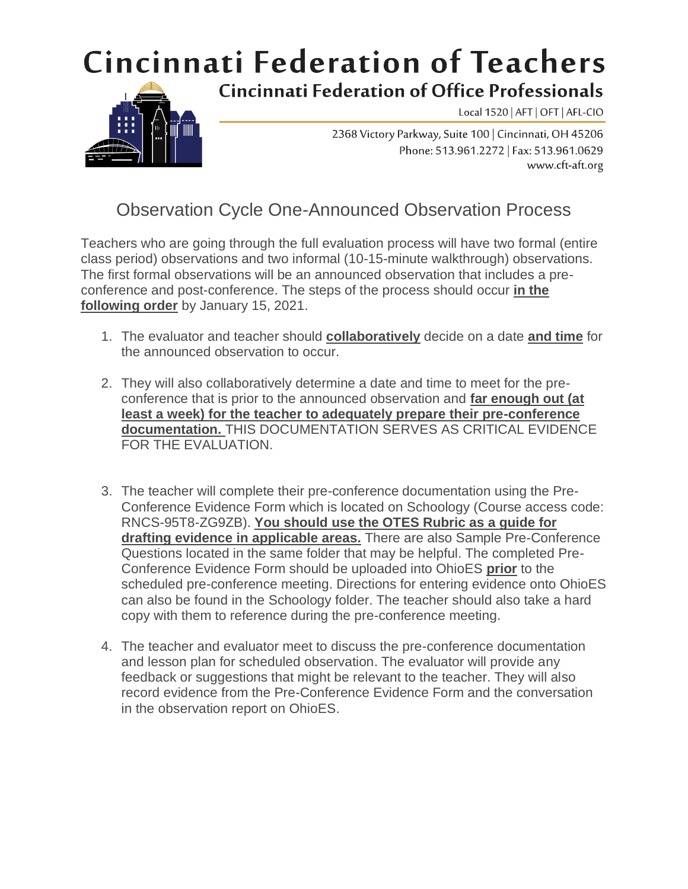## **Cincinnati Federation of Teachers**



**Cincinnati Federation of Office Professionals** 

Local 1520 | AFT | OFT | AFL-CIO

2368 Victory Parkway, Suite 100 | Cincinnati, OH 45206 Phone: 513.961.2272 | Fax: 513.961.0629 www.cft-aft.org

## Observation Cycle One-Announced Observation Process

Teachers who are going through the full evaluation process will have two formal (entire class period) observations and two informal (10-15-minute walkthrough) observations. The first formal observations will be an announced observation that includes a preconference and post-conference. The steps of the process should occur **in the following order** by January 15, 2021.

- 1. The evaluator and teacher should **collaboratively** decide on a date **and time** for the announced observation to occur.
- 2. They will also collaboratively determine a date and time to meet for the preconference that is prior to the announced observation and **far enough out (at least a week) for the teacher to adequately prepare their pre-conference documentation.** THIS DOCUMENTATION SERVES AS CRITICAL EVIDENCE FOR THE EVALUATION.
- 3. The teacher will complete their pre-conference documentation using the Pre-Conference Evidence Form which is located on Schoology (Course access code: RNCS-95T8-ZG9ZB). **You should use the OTES Rubric as a guide for drafting evidence in applicable areas.** There are also Sample Pre-Conference Questions located in the same folder that may be helpful. The completed Pre-Conference Evidence Form should be uploaded into OhioES **prior** to the scheduled pre-conference meeting. Directions for entering evidence onto OhioES can also be found in the Schoology folder. The teacher should also take a hard copy with them to reference during the pre-conference meeting.
- 4. The teacher and evaluator meet to discuss the pre-conference documentation and lesson plan for scheduled observation. The evaluator will provide any feedback or suggestions that might be relevant to the teacher. They will also record evidence from the Pre-Conference Evidence Form and the conversation in the observation report on OhioES.